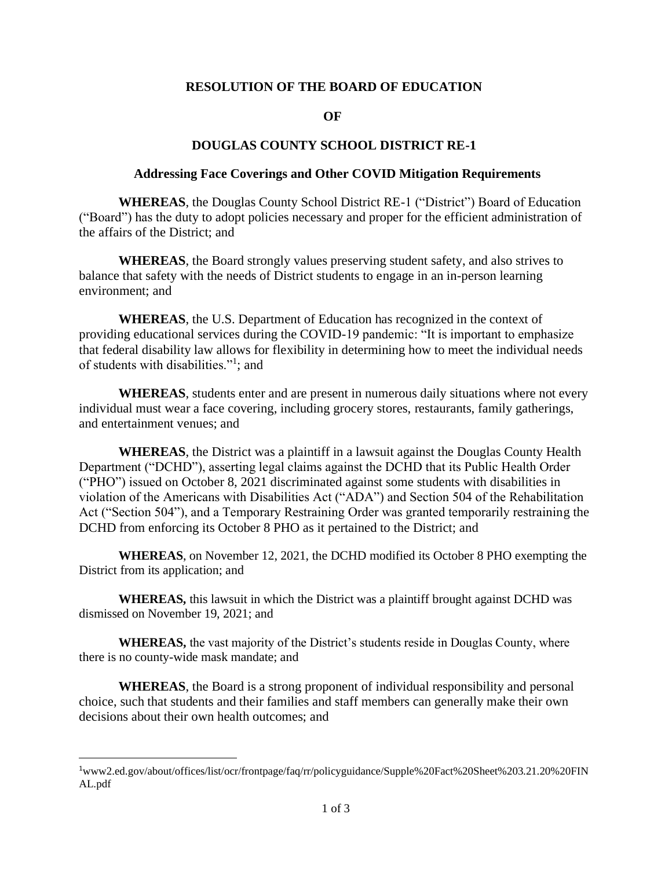## **RESOLUTION OF THE BOARD OF EDUCATION**

**OF**

## **DOUGLAS COUNTY SCHOOL DISTRICT RE-1**

## **Addressing Face Coverings and Other COVID Mitigation Requirements**

 **WHEREAS**, the Douglas County School District RE-1 ("District") Board of Education ("Board") has the duty to adopt policies necessary and proper for the efficient administration of the affairs of the District; and

**WHEREAS**, the Board strongly values preserving student safety, and also strives to balance that safety with the needs of District students to engage in an in-person learning environment; and

**WHEREAS**, the U.S. Department of Education has recognized in the context of providing educational services during the COVID-19 pandemic: "It is important to emphasize that federal disability law allows for flexibility in determining how to meet the individual needs of students with disabilities."<sup>1</sup>; and

**WHEREAS**, students enter and are present in numerous daily situations where not every individual must wear a face covering, including grocery stores, restaurants, family gatherings, and entertainment venues; and

**WHEREAS**, the District was a plaintiff in a lawsuit against the Douglas County Health Department ("DCHD"), asserting legal claims against the DCHD that its Public Health Order ("PHO") issued on October 8, 2021 discriminated against some students with disabilities in violation of the Americans with Disabilities Act ("ADA") and Section 504 of the Rehabilitation Act ("Section 504"), and a Temporary Restraining Order was granted temporarily restraining the DCHD from enforcing its October 8 PHO as it pertained to the District; and

**WHEREAS**, on November 12, 2021, the DCHD modified its October 8 PHO exempting the District from its application; and

**WHEREAS,** this lawsuit in which the District was a plaintiff brought against DCHD was dismissed on November 19, 2021; and

**WHEREAS,** the vast majority of the District's students reside in Douglas County, where there is no county-wide mask mandate; and

**WHEREAS**, the Board is a strong proponent of individual responsibility and personal choice, such that students and their families and staff members can generally make their own decisions about their own health outcomes; and

<sup>1</sup>www2.ed.gov/about/offices/list/ocr/frontpage/faq/rr/policyguidance/Supple%20Fact%20Sheet%203.21.20%20FIN AL.pdf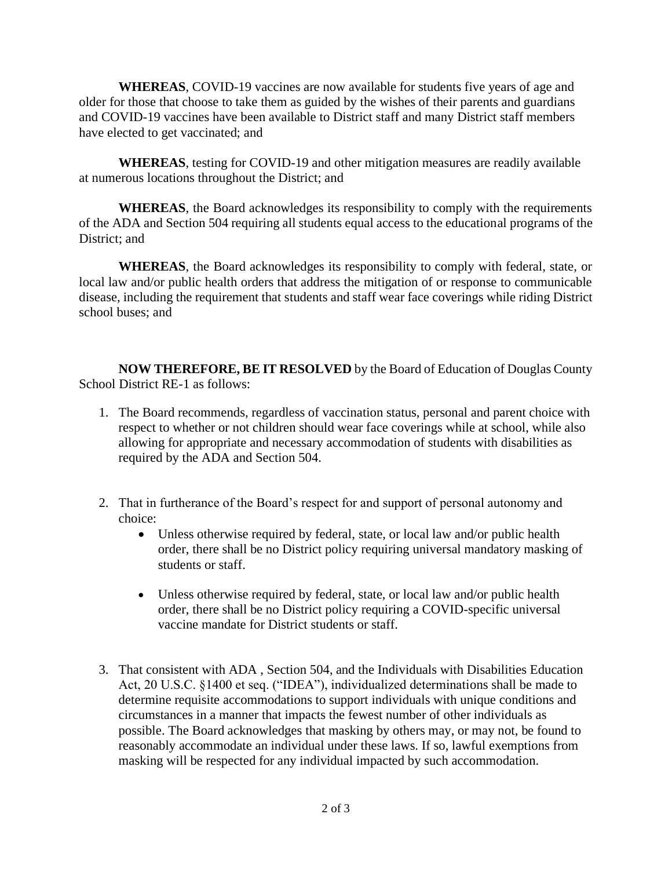**WHEREAS**, COVID-19 vaccines are now available for students five years of age and older for those that choose to take them as guided by the wishes of their parents and guardians and COVID-19 vaccines have been available to District staff and many District staff members have elected to get vaccinated; and

**WHEREAS**, testing for COVID-19 and other mitigation measures are readily available at numerous locations throughout the District; and

**WHEREAS**, the Board acknowledges its responsibility to comply with the requirements of the ADA and Section 504 requiring all students equal access to the educational programs of the District; and

**WHEREAS**, the Board acknowledges its responsibility to comply with federal, state, or local law and/or public health orders that address the mitigation of or response to communicable disease, including the requirement that students and staff wear face coverings while riding District school buses; and

**NOW THEREFORE, BE IT RESOLVED** by the Board of Education of Douglas County School District RE-1 as follows:

- 1. The Board recommends, regardless of vaccination status, personal and parent choice with respect to whether or not children should wear face coverings while at school, while also allowing for appropriate and necessary accommodation of students with disabilities as required by the ADA and Section 504.
- 2. That in furtherance of the Board's respect for and support of personal autonomy and choice:
	- Unless otherwise required by federal, state, or local law and/or public health order, there shall be no District policy requiring universal mandatory masking of students or staff.
	- Unless otherwise required by federal, state, or local law and/or public health order, there shall be no District policy requiring a COVID-specific universal vaccine mandate for District students or staff.
- 3. That consistent with ADA , Section 504, and the Individuals with Disabilities Education Act, 20 U.S.C. §1400 et seq. ("IDEA"), individualized determinations shall be made to determine requisite accommodations to support individuals with unique conditions and circumstances in a manner that impacts the fewest number of other individuals as possible. The Board acknowledges that masking by others may, or may not, be found to reasonably accommodate an individual under these laws. If so, lawful exemptions from masking will be respected for any individual impacted by such accommodation.